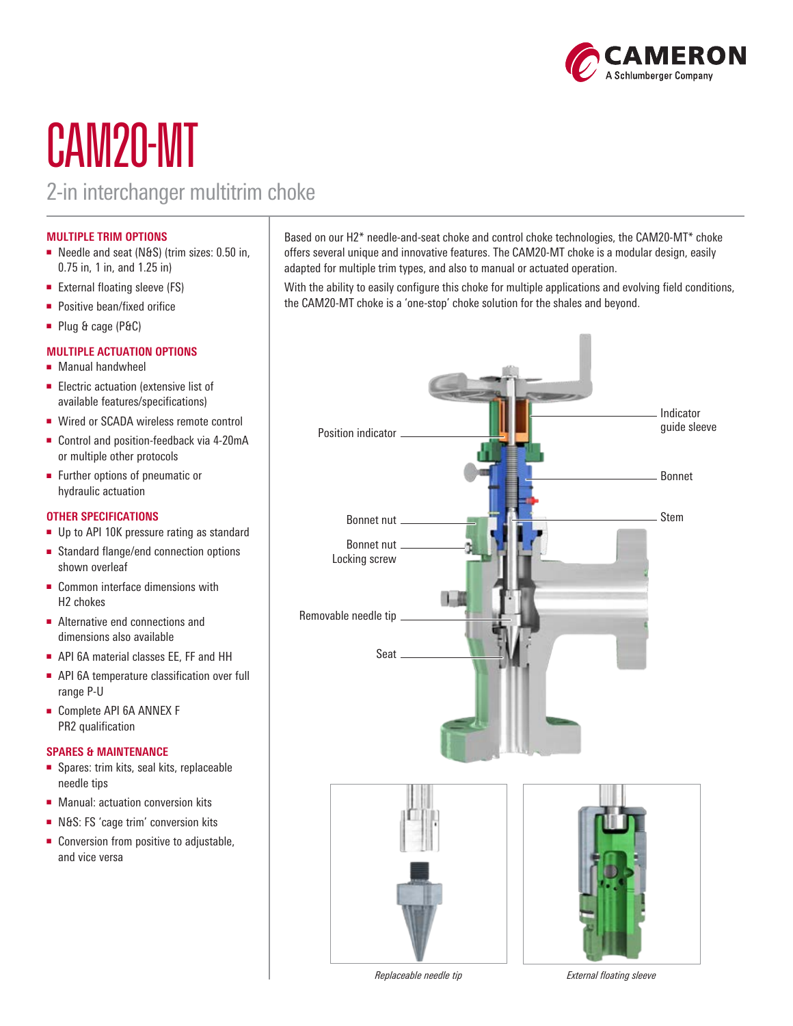

# CAM20-MT

### 2-in interchanger multitrim choke

#### **MULTIPLE TRIM OPTIONS**

- Needle and seat (N&S) (trim sizes: 0.50 in, 0.75 in, 1 in, and 1.25 in)
- External floating sleeve (FS)
- Positive bean/fixed orifice
- Plug & cage (P&C)

#### **MULTIPLE ACTUATION OPTIONS**

- Manual handwheel
- Electric actuation (extensive list of available features/specifications)
- Wired or SCADA wireless remote control
- Control and position-feedback via 4-20mA or multiple other protocols
- Further options of pneumatic or hydraulic actuation

#### **OTHER SPECIFICATIONS**

- Up to API 10K pressure rating as standard
- Standard flange/end connection options shown overleaf
- Common interface dimensions with H2 chokes
- Alternative end connections and dimensions also available
- API 6A material classes EE, FF and HH
- API 6A temperature classification over full range P-U
- Complete API 6A ANNEX F PR2 qualification

#### **SPARES & MAINTENANCE**

- Spares: trim kits, seal kits, replaceable needle tips
- Manual: actuation conversion kits
- N&S: FS 'cage trim' conversion kits
- Conversion from positive to adjustable, and vice versa

Based on our H2\* needle-and-seat choke and control choke technologies, the CAM20-MT\* choke offers several unique and innovative features. The CAM20-MT choke is a modular design, easily adapted for multiple trim types, and also to manual or actuated operation.

With the ability to easily configure this choke for multiple applications and evolving field conditions, the CAM20-MT choke is a 'one-stop' choke solution for the shales and beyond.



*Replaceable needle tip External floating sleeve*